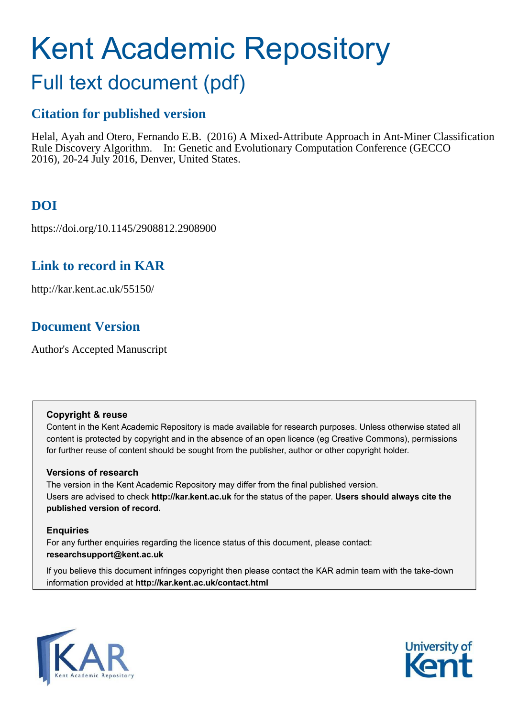# Kent Academic Repository

## Full text document (pdf)

## **Citation for published version**

Helal, Ayah and Otero, Fernando E.B. (2016) A Mixed-Attribute Approach in Ant-Miner Classification Rule Discovery Algorithm. In: Genetic and Evolutionary Computation Conference (GECCO 2016), 20-24 July 2016, Denver, United States.

## **DOI**

https://doi.org/10.1145/2908812.2908900

## **Link to record in KAR**

http://kar.kent.ac.uk/55150/

## **Document Version**

Author's Accepted Manuscript

#### **Copyright & reuse**

Content in the Kent Academic Repository is made available for research purposes. Unless otherwise stated all content is protected by copyright and in the absence of an open licence (eg Creative Commons), permissions for further reuse of content should be sought from the publisher, author or other copyright holder.

#### **Versions of research**

The version in the Kent Academic Repository may differ from the final published version. Users are advised to check **http://kar.kent.ac.uk** for the status of the paper. **Users should always cite the published version of record.**

#### **Enquiries**

For any further enquiries regarding the licence status of this document, please contact: **researchsupport@kent.ac.uk**

If you believe this document infringes copyright then please contact the KAR admin team with the take-down information provided at **http://kar.kent.ac.uk/contact.html**



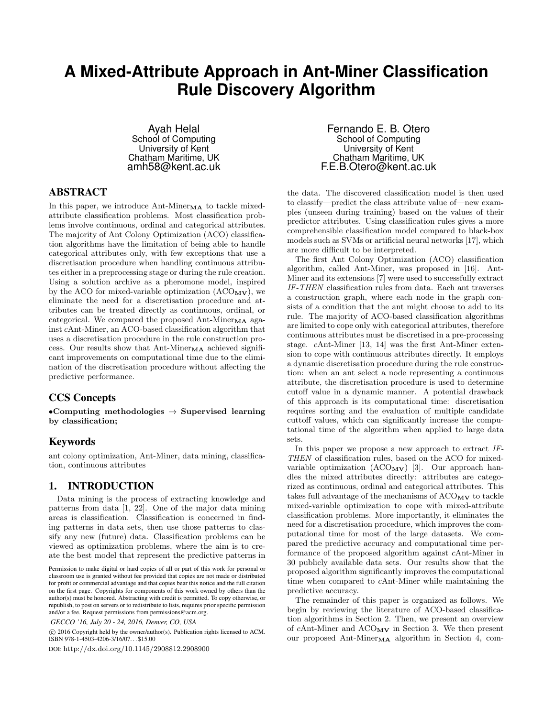## **A Mixed-Attribute Approach in Ant-Miner Classification Rule Discovery Algorithm**

Ayah Helal School of Computing University of Kent Chatham Maritime, UK amh58@kent.ac.uk

#### ABSTRACT

In this paper, we introduce  $Ant\text{-}Miner_{\textbf{MA}}$  to tackle mixedattribute classification problems. Most classification problems involve continuous, ordinal and categorical attributes. The majority of Ant Colony Optimization (ACO) classification algorithms have the limitation of being able to handle categorical attributes only, with few exceptions that use a discretisation procedure when handling continuous attributes either in a preprocessing stage or during the rule creation. Using a solution archive as a pheromone model, inspired by the ACO for mixed-variable optimization  $(ACO_{MV})$ , we eliminate the need for a discretisation procedure and attributes can be treated directly as continuous, ordinal, or categorical. We compared the proposed Ant-Miner $_{\text{MA}}$  against cAnt-Miner, an ACO-based classification algorithm that uses a discretisation procedure in the rule construction process. Our results show that Ant-Miner $_{\mathbf{MA}}$  achieved significant improvements on computational time due to the elimination of the discretisation procedure without affecting the predictive performance.

#### CCS Concepts

•Computing methodologies  $\rightarrow$  Supervised learning by classification;

#### Keywords

ant colony optimization, Ant-Miner, data mining, classification, continuous attributes

#### 1. INTRODUCTION

Data mining is the process of extracting knowledge and patterns from data [1, 22]. One of the major data mining areas is classification. Classification is concerned in finding patterns in data sets, then use those patterns to classify any new (future) data. Classification problems can be viewed as optimization problems, where the aim is to create the best model that represent the predictive patterns in

*GECCO '16, July 20 - 24, 2016, Denver, CO, USA*

!c 2016 Copyright held by the owner/author(s). Publication rights licensed to ACM. ISBN 978-1-4503-4206-3/16/07. . . \$15.00

DOI: http://dx.doi.org/10.1145/2908812.2908900

Fernando E. B. Otero School of Computing University of Kent Chatham Maritime, UK F.E.B.Otero@kent.ac.uk

the data. The discovered classification model is then used to classify—predict the class attribute value of—new examples (unseen during training) based on the values of their predictor attributes. Using classification rules gives a more comprehensible classification model compared to black-box models such as SVMs or artificial neural networks [17], which are more difficult to be interpreted.

The first Ant Colony Optimization (ACO) classification algorithm, called Ant-Miner, was proposed in [16]. Ant-Miner and its extensions [7] were used to successfully extract *IF-THEN* classification rules from data. Each ant traverses a construction graph, where each node in the graph consists of a condition that the ant might choose to add to its rule. The majority of ACO-based classification algorithms are limited to cope only with categorical attributes, therefore continuous attributes must be discretised in a pre-processing stage. cAnt-Miner [13, 14] was the first Ant-Miner extension to cope with continuous attributes directly. It employs a dynamic discretisation procedure during the rule construction: when an ant select a node representing a continuous attribute, the discretisation procedure is used to determine cutoff value in a dynamic manner. A potential drawback of this approach is its computational time: discretisation requires sorting and the evaluation of multiple candidate cuttoff values, which can significantly increase the computational time of the algorithm when applied to large data sets.

In this paper we propose a new approach to extract *IF-THEN* of classification rules, based on the ACO for mixedvariable optimization  $(ACO_{MV})$  [3]. Our approach handles the mixed attributes directly: attributes are categorized as continuous, ordinal and categorical attributes. This takes full advantage of the mechanisms of  $ACO_{MV}$  to tackle mixed-variable optimization to cope with mixed-attribute classification problems. More importantly, it eliminates the need for a discretisation procedure, which improves the computational time for most of the large datasets. We compared the predictive accuracy and computational time performance of the proposed algorithm against cAnt-Miner in 30 publicly available data sets. Our results show that the proposed algorithm significantly improves the computational time when compared to cAnt-Miner while maintaining the predictive accuracy.

The remainder of this paper is organized as follows. We begin by reviewing the literature of ACO-based classification algorithms in Section 2. Then, we present an overview of cAnt-Miner and  $ACO_{MV}$  in Section 3. We then present our proposed Ant-Miner $_{\text{MA}}$  algorithm in Section 4, com-

Permission to make digital or hard copies of all or part of this work for personal or classroom use is granted without fee provided that copies are not made or distributed for profit or commercial advantage and that copies bear this notice and the full citation on the first page. Copyrights for components of this work owned by others than the author(s) must be honored. Abstracting with credit is permitted. To copy otherwise, or republish, to post on servers or to redistribute to lists, requires prior specific permission and/or a fee. Request permissions from permissions@acm.org.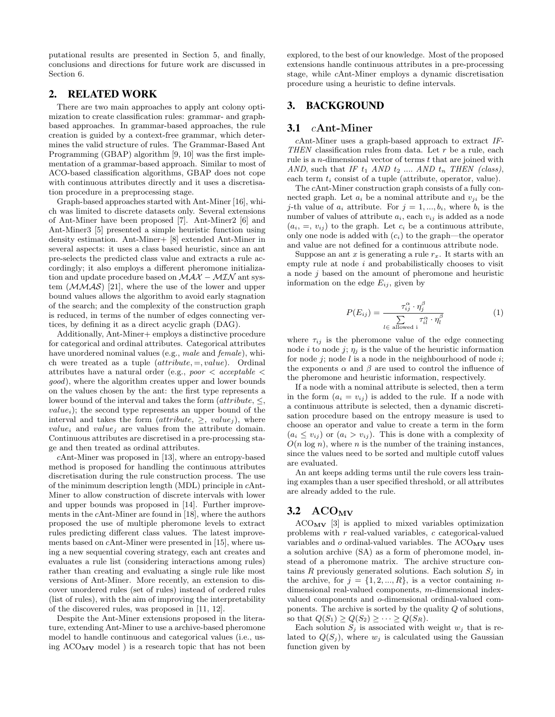putational results are presented in Section 5, and finally, conclusions and directions for future work are discussed in Section 6.

#### 2. RELATED WORK

There are two main approaches to apply ant colony optimization to create classification rules: grammar- and graphbased approaches. In grammar-based approaches, the rule creation is guided by a context-free grammar, which determines the valid structure of rules. The Grammar-Based Ant Programming (GBAP) algorithm [9, 10] was the first implementation of a grammar-based approach. Similar to most of ACO-based classification algorithms, GBAP does not cope with continuous attributes directly and it uses a discretisation procedure in a preprocessing stage.

Graph-based approaches started with Ant-Miner [16], which was limited to discrete datasets only. Several extensions of Ant-Miner have been proposed [7]. Ant-Miner2 [6] and Ant-Miner3 [5] presented a simple heuristic function using density estimation. Ant-Miner+ [8] extended Ant-Miner in several aspects: it uses a class based heuristic, since an ant pre-selects the predicted class value and extracts a rule accordingly; it also employs a different pheromone initialization and update procedure based on  $MAX - MIN$  ant system  $(\mathcal{M}\mathcal{M}\mathcal{A}\mathcal{S})$  [21], where the use of the lower and upper bound values allows the algorithm to avoid early stagnation of the search; and the complexity of the construction graph is reduced, in terms of the number of edges connecting vertices, by defining it as a direct acyclic graph (DAG).

Additionally, Ant-Miner+ employs a distinctive procedure for categorical and ordinal attributes. Categorical attributes have unordered nominal values (e.g., *male* and *female*), which were treated as a tuple  $(atribute, =, value)$ . Ordinal attributes have a natural order (e.g., *poor* < *acceptable* < *good*), where the algorithm creates upper and lower bounds on the values chosen by the ant: the first type represents a lower bound of the interval and takes the form  $(\textit{attribute}, \leq,$  $value_i$ ); the second type represents an upper bound of the interval and takes the form  $(attribute, \geq, value_i)$ , where  $value_i$  and  $value_i$  are values from the attribute domain. Continuous attributes are discretised in a pre-processing stage and then treated as ordinal attributes.

cAnt-Miner was proposed in [13], where an entropy-based method is proposed for handling the continuous attributes discretisation during the rule construction process. The use of the minimum description length (MDL) principle in cAnt-Miner to allow construction of discrete intervals with lower and upper bounds was proposed in [14]. Further improvements in the cAnt-Miner are found in [18], where the authors proposed the use of multiple pheromone levels to extract rules predicting different class values. The latest improvements based on cAnt-Miner were presented in [15], where using a new sequential covering strategy, each ant creates and evaluates a rule list (considering interactions among rules) rather than creating and evaluating a single rule like most versions of Ant-Miner. More recently, an extension to discover unordered rules (set of rules) instead of ordered rules (list of rules), with the aim of improving the interpretability of the discovered rules, was proposed in [11, 12].

Despite the Ant-Miner extensions proposed in the literature, extending Ant-Miner to use a archive-based pheromone model to handle continuous and categorical values (i.e., using  $ACO_{MV}$  model) is a research topic that has not been explored, to the best of our knowledge. Most of the proposed extensions handle continuous attributes in a pre-processing stage, while cAnt-Miner employs a dynamic discretisation procedure using a heuristic to define intervals.

#### 3. BACKGROUND

#### 3.1 cAnt-Miner

cAnt-Miner uses a graph-based approach to extract *IF-THEN* classification rules from data. Let r be a rule, each rule is a *n*-dimensional vector of terms  $t$  that are joined with *AND*, such that *IF*  $t_1$  *AND*  $t_2$  .... *AND*  $t_n$  *THEN* (class), each term  $t_i$  consist of a tuple (attribute, operator, value).

The cAnt-Miner construction graph consists of a fully connected graph. Let  $a_i$  be a nominal attribute and  $v_{ji}$  be the j-th value of  $a_i$  attribute. For  $j = 1, ..., b_i$ , where  $b_i$  is the number of values of attribute  $a_i$ , each  $v_{ij}$  is added as a node  $(a_i, =, v_{ii})$  to the graph. Let  $c_i$  be a continuous attribute, only one node is added with  $(c_i)$  to the graph—the operator and value are not defined for a continuous attribute node.

Suppose an ant  $x$  is generating a rule  $r_x$ . It starts with an empty rule at node i and probabilistically chooses to visit a node  $j$  based on the amount of pheromone and heuristic information on the edge  $E_{ij}$ , given by

$$
P(E_{ij}) = \frac{\tau_{ij}^{\alpha} \cdot \eta_j^{\beta}}{\sum\limits_{l \in \text{ allowed } i} \tau_{il}^{\alpha} \cdot \eta_l^{\beta}}
$$
(1)

where  $\tau_{ij}$  is the pheromone value of the edge connecting node *i* to node *j*;  $\eta_j$  is the value of the heuristic information for node  $j$ ; node  $l$  is a node in the neighbourhood of node  $i$ ; the exponents  $\alpha$  and  $\beta$  are used to control the influence of the pheromone and heuristic information, respectively.

If a node with a nominal attribute is selected, then a term in the form  $(a_i = v_{ij})$  is added to the rule. If a node with a continuous attribute is selected, then a dynamic discretisation procedure based on the entropy measure is used to choose an operator and value to create a term in the form  $(a_i \le v_{ii})$  or  $(a_i > v_{ii})$ . This is done with a complexity of  $O(n \log n)$ , where *n* is the number of the training instances, since the values need to be sorted and multiple cutoff values are evaluated.

An ant keeps adding terms until the rule covers less training examples than a user specified threshold, or all attributes are already added to the rule.

#### 3.2  $\text{ACO}_{\text{MV}}$

 $ACO_{MV}$  [3] is applied to mixed variables optimization problems with r real-valued variables, c categorical-valued variables and  $o$  ordinal-valued variables. The  $ACO_{MV}$  uses a solution archive (SA) as a form of pheromone model, instead of a pheromone matrix. The archive structure contains R previously generated solutions. Each solution  $S_i$  in the archive, for  $j = \{1, 2, ..., R\}$ , is a vector containing ndimensional real-valued components, m-dimensional indexvalued components and o-dimensional ordinal-valued components. The archive is sorted by the quality  $Q$  of solutions, so that  $Q(S_1) \geq Q(S_2) \geq \cdots \geq Q(S_R)$ .

Each solution  $S_j$  is associated with weight  $w_j$  that is related to  $Q(S_j)$ , where  $w_j$  is calculated using the Gaussian function given by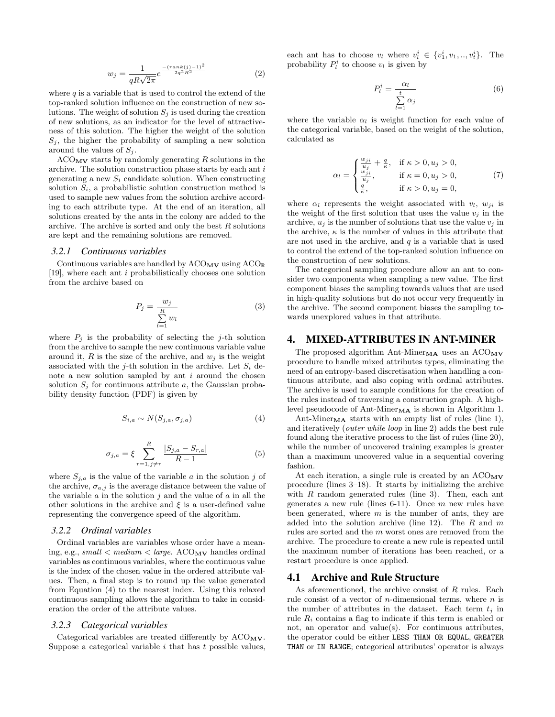$$
w_j = \frac{1}{qR\sqrt{2\pi}}e^{\frac{-(rank(j)-1)^2}{2q^2R^2}}
$$
(2)

where  $q$  is a variable that is used to control the extend of the top-ranked solution influence on the construction of new solutions. The weight of solution  $S_i$  is used during the creation of new solutions, as an indicator for the level of attractiveness of this solution. The higher the weight of the solution  $S_i$ , the higher the probability of sampling a new solution around the values of  $S_i$ .

 $ACO_{MV}$  starts by randomly generating R solutions in the archive. The solution construction phase starts by each ant  $i$ generating a new  $S_i$  candidate solution. When constructing solution  $S_i$ , a probabilistic solution construction method is used to sample new values from the solution archive according to each attribute type. At the end of an iteration, all solutions created by the ants in the colony are added to the archive. The archive is sorted and only the best  $R$  solutions are kept and the remaining solutions are removed.

#### *3.2.1 Continuous variables*

Continuous variables are handled by  $\text{ACO}_{\textbf{MV}}$  using  $\text{ACO}_{\mathbb{R}}$  $[19]$ , where each ant i probabilistically chooses one solution from the archive based on

$$
P_j = \frac{w_j}{\sum_{l=1}^R w_l} \tag{3}
$$

where  $P_j$  is the probability of selecting the j-th solution from the archive to sample the new continuous variable value around it, R is the size of the archive, and  $w_i$  is the weight associated with the j-th solution in the archive. Let  $S_i$  denote a new solution sampled by ant  $i$  around the chosen solution  $S_i$  for continuous attribute a, the Gaussian probability density function (PDF) is given by

$$
S_{i,a} \sim N(S_{j,a}, \sigma_{j,a}) \tag{4}
$$

$$
\sigma_{j,a} = \xi \sum_{r=1,j\neq r}^{R} \frac{|S_{j,a} - S_{r,a}|}{R - 1}
$$
 (5)

where  $S_{j,a}$  is the value of the variable a in the solution j of the archive,  $\sigma_{a,j}$  is the average distance between the value of the variable  $a$  in the solution  $j$  and the value of  $a$  in all the other solutions in the archive and  $\xi$  is a user-defined value representing the convergence speed of the algorithm.

#### *3.2.2 Ordinal variables*

Ordinal variables are variables whose order have a meaning, e.g., *small* < medium < large. ACO<sub>MV</sub> handles ordinal variables as continuous variables, where the continuous value is the index of the chosen value in the ordered attribute values. Then, a final step is to round up the value generated from Equation (4) to the nearest index. Using this relaxed continuous sampling allows the algorithm to take in consideration the order of the attribute values.

#### *3.2.3 Categorical variables*

Categorical variables are treated differently by  $ACO_{MV}$ . Suppose a categorical variable  $i$  that has  $t$  possible values,

each ant has to choose  $v_l$  where  $v_l^i \in \{v_1^i, v_1, ..., v_t^i\}$ . The probability  $P_l^i$  to choose  $v_l$  is given by

$$
P_l^i = \frac{\alpha_l}{\sum\limits_{l=1}^t \alpha_j} \tag{6}
$$

where the variable  $\alpha_l$  is weight function for each value of the categorical variable, based on the weight of the solution, calculated as

$$
\alpha_l = \begin{cases} \frac{w_{ji}}{u_j} + \frac{q}{\kappa}, & \text{if } \kappa > 0, u_j > 0, \\ \frac{w_{ji}}{u_j}, & \text{if } \kappa = 0, u_j > 0, \\ \frac{q}{\kappa}, & \text{if } \kappa > 0, u_j = 0, \end{cases}
$$
(7)

where  $\alpha_l$  represents the weight associated with  $v_l$ ,  $w_{ji}$  is the weight of the first solution that uses the value  $v_j$  in the archive,  $u_i$  is the number of solutions that use the value  $v_i$  in the archive,  $\kappa$  is the number of values in this attribute that are not used in the archive, and  $q$  is a variable that is used to control the extend of the top-ranked solution influence on the construction of new solutions.

The categorical sampling procedure allow an ant to consider two components when sampling a new value. The first component biases the sampling towards values that are used in high-quality solutions but do not occur very frequently in the archive. The second component biases the sampling towards unexplored values in that attribute.

#### 4. MIXED-ATTRIBUTES IN ANT-MINER

The proposed algorithm Ant-Miner $_{\text{MA}}$  uses an ACO<sub>MV</sub> procedure to handle mixed attributes types, eliminating the need of an entropy-based discretisation when handling a continuous attribute, and also coping with ordinal attributes. The archive is used to sample conditions for the creation of the rules instead of traversing a construction graph. A highlevel pseudocode of Ant-Miner $_{\bf MA}$  is shown in Algorithm 1.

Ant-Miner $_{\mathbf{MA}}$  starts with an empty list of rules (line 1), and iteratively (*outer while loop* in line 2) adds the best rule found along the iterative process to the list of rules (line 20), while the number of uncovered training examples is greater than a maximum uncovered value in a sequential covering fashion.

At each iteration, a single rule is created by an  $ACO_{MV}$ procedure (lines 3–18). It starts by initializing the archive with  $R$  random generated rules (line 3). Then, each ant generates a new rule (lines  $6-11$ ). Once m new rules have been generated, where  $m$  is the number of ants, they are added into the solution archive (line 12). The  $R$  and  $m$ rules are sorted and the  $m$  worst ones are removed from the archive. The procedure to create a new rule is repeated until the maximum number of iterations has been reached, or a restart procedure is once applied.

#### 4.1 Archive and Rule Structure

As aforementioned, the archive consist of R rules. Each rule consist of a vector of  $n$ -dimensional terms, where  $n$  is the number of attributes in the dataset. Each term  $t_i$  in rule  $R_i$  contains a flag to indicate if this term is enabled or not, an operator and value(s). For continuous attributes, the operator could be either LESS THAN OR EQUAL, GREATER THAN or IN RANGE; categorical attributes' operator is always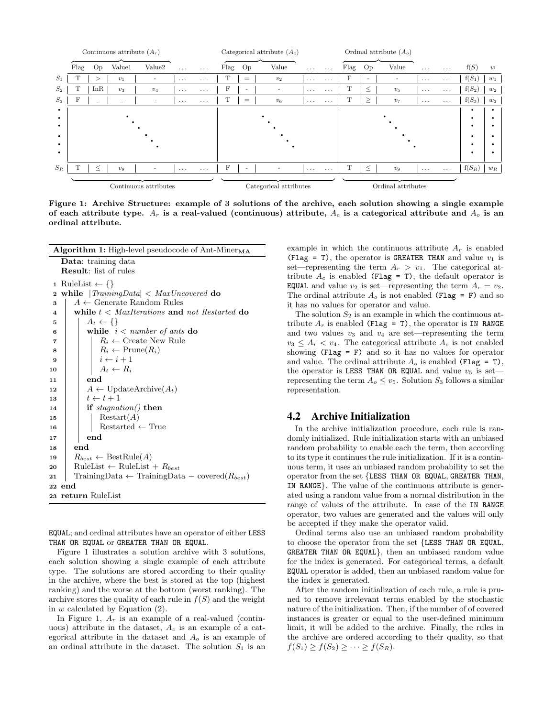|         | Continuous attribute $(A_r)$ |       |        |        |          | Categorical attribute $(A_c)$ |             |                          | Ordinal attribute $(Ao)$ |                      |                    |             |                          |                |            |          |          |       |
|---------|------------------------------|-------|--------|--------|----------|-------------------------------|-------------|--------------------------|--------------------------|----------------------|--------------------|-------------|--------------------------|----------------|------------|----------|----------|-------|
|         | Flag                         | Op    | Value1 | Value2 | $\cdots$ | $\sim$ $\sim$ $\sim$          | Flag        | Op                       | Value                    | $\cdots$             | $\cdots$           | Flag        | Op                       | Value          | $\cdots$   | $\cdots$ | f(S)     | w     |
| $S_1$   | m                            |       | $v_1$  | ۰      | $\cdots$ | $\cdots$                      | T           | $=$                      | $v_2$                    | $\cdots$             | $\cdots$           | $\mathbf F$ | $\overline{\phantom{a}}$ | $\overline{a}$ | $\cdots$   | $\cdots$ | $f(S_1)$ | $w_1$ |
| $S_2$   | m                            | InR   | $v_3$  | $v_4$  | $\cdots$ | $\cdots$                      | $\mathbf F$ | $\overline{\phantom{a}}$ | $\overline{\phantom{a}}$ | $\cdots$             | $\cdots$           | ጡ<br>Ŧ.     | $\leq$                   | $v_5$          | $\cdots$   | $\cdots$ | $f(S_2)$ | $w_2$ |
| $S_3$   | F                            | -     | -      | -      | $\cdots$ | $\cdots$                      | m           | $=$                      | $v_6$                    | $\sim$ $\sim$ $\sim$ | $\cdots$           | Т           | $\geq$                   | $v_7$          | $\cdots$   | $\cdots$ | $f(S_3)$ | $w_3$ |
|         |                              |       |        |        |          |                               |             |                          |                          |                      |                    |             |                          |                |            |          | ٠        |       |
| $S_{R}$ |                              | $\,<$ | $v_8$  | ۰      | $\cdots$ | $\cdots$                      | $_{\rm F}$  | $\overline{\phantom{a}}$ |                          | $\cdots$             | $\cdots$           | T           | $\leq$                   | $v_9$          | $\ldots$ . | $\cdots$ | $f(S_R)$ | $w_R$ |
|         | Continuous attributes        |       |        |        |          | Categorical attributes        |             |                          |                          |                      | Ordinal attributes |             |                          |                |            |          |          |       |

Figure 1: Archive Structure: example of 3 solutions of the archive, each solution showing a single example of each attribute type.  $A_r$  is a real-valued (continuous) attribute,  $A_c$  is a categorical attribute and  $A_o$  is an ordinal attribute.

| <b>Algorithm 1:</b> High-level pseudocode of Ant-Miner $_{MA}$                  |  |  |  |  |  |  |  |
|---------------------------------------------------------------------------------|--|--|--|--|--|--|--|
| <b>Data:</b> training data                                                      |  |  |  |  |  |  |  |
| <b>Result:</b> list of rules                                                    |  |  |  |  |  |  |  |
| RuleList $\leftarrow \{\}$<br>$\mathbf{1}$                                      |  |  |  |  |  |  |  |
| while $ TrainingData  < MaxUncovered$ do<br>$\overline{\mathbf{2}}$             |  |  |  |  |  |  |  |
| $A \leftarrow$ Generate Random Rules<br>3                                       |  |  |  |  |  |  |  |
| while $t <$ MaxIterations and not Restarted do<br>4                             |  |  |  |  |  |  |  |
| $A_t \leftarrow \{\}$<br>5                                                      |  |  |  |  |  |  |  |
| while $i < number ofants$ do<br>6                                               |  |  |  |  |  |  |  |
| $R_i \leftarrow$ Create New Rule<br>7                                           |  |  |  |  |  |  |  |
| $R_i \leftarrow \text{Prune}(R_i)$<br>8                                         |  |  |  |  |  |  |  |
| $i \leftarrow i + 1$<br>9                                                       |  |  |  |  |  |  |  |
| $A_t \leftarrow R_i$<br>10                                                      |  |  |  |  |  |  |  |
| end<br>11                                                                       |  |  |  |  |  |  |  |
| $A \leftarrow \text{UpdateArchive}(A_t)$<br>12                                  |  |  |  |  |  |  |  |
| $t \leftarrow t + 1$<br>13                                                      |  |  |  |  |  |  |  |
| if $stagnation()$ then<br>14                                                    |  |  |  |  |  |  |  |
| Restart(A)<br>15                                                                |  |  |  |  |  |  |  |
| $\operatorname{Restarted}\nolimits\leftarrow\operatorname{True}\nolimits$<br>16 |  |  |  |  |  |  |  |
| end<br>17                                                                       |  |  |  |  |  |  |  |
| end<br>18                                                                       |  |  |  |  |  |  |  |
| $R_{best} \leftarrow BestRule(A)$<br>19                                         |  |  |  |  |  |  |  |
| RuleList $\leftarrow$ RuleList + $R_{best}$<br>20                               |  |  |  |  |  |  |  |
| TrainingData $\leftarrow$ TrainingData – covered( $R_{best}$ )<br>21            |  |  |  |  |  |  |  |
| 22 end                                                                          |  |  |  |  |  |  |  |
| 23 return RuleList                                                              |  |  |  |  |  |  |  |
|                                                                                 |  |  |  |  |  |  |  |

EQUAL; and ordinal attributes have an operator of either LESS THAN OR EQUAL or GREATER THAN OR EQUAL.

Figure 1 illustrates a solution archive with 3 solutions, each solution showing a single example of each attribute type. The solutions are stored according to their quality in the archive, where the best is stored at the top (highest ranking) and the worse at the bottom (worst ranking). The archive stores the quality of each rule in  $f(S)$  and the weight in w calculated by Equation (2).

In Figure 1,  $A_r$  is an example of a real-valued (continuous) attribute in the dataset,  $A_c$  is an example of a categorical attribute in the dataset and  $A<sub>o</sub>$  is an example of an ordinal attribute in the dataset. The solution  $S_1$  is an

example in which the continuous attribute  $A_r$  is enabled (Flag = T), the operator is GREATER THAN and value  $v_1$  is set—representing the term  $A_r > v_1$ . The categorical attribute  $A_c$  is enabled (Flag = T), the default operator is EQUAL and value  $v_2$  is set—representing the term  $A_c = v_2$ . The ordinal attribute  $A_o$  is not enabled (Flag = F) and so it has no values for operator and value.

The solution  $S_2$  is an example in which the continuous attribute  $A_r$  is enabled (Flag = T), the operator is IN RANGE and two values  $v_3$  and  $v_4$  are set—representing the term  $v_3 \leq A_r < v_4$ . The categorical attribute  $A_c$  is not enabled showing  $(Flag = F)$  and so it has no values for operator and value. The ordinal attribute  $A_o$  is enabled (Flag = T), the operator is LESS THAN OR EQUAL and value  $v_5$  is setrepresenting the term  $A_o \leq v_5$ . Solution  $S_3$  follows a similar representation.

#### 4.2 Archive Initialization

In the archive initialization procedure, each rule is randomly initialized. Rule initialization starts with an unbiased random probability to enable each the term, then according to its type it continues the rule initialization. If it is a continuous term, it uses an unbiased random probability to set the operator from the set {LESS THAN OR EQUAL, GREATER THAN, IN RANGE}. The value of the continuous attribute is generated using a random value from a normal distribution in the range of values of the attribute. In case of the IN RANGE operator, two values are generated and the values will only be accepted if they make the operator valid.

Ordinal terms also use an unbiased random probability to choose the operator from the set {LESS THAN OR EQUAL, GREATER THAN OR EQUAL}, then an unbiased random value for the index is generated. For categorical terms, a default EQUAL operator is added, then an unbiased random value for the index is generated.

After the random initialization of each rule, a rule is pruned to remove irrelevant terms enabled by the stochastic nature of the initialization. Then, if the number of of covered instances is greater or equal to the user-defined minimum limit, it will be added to the archive. Finally, the rules in the archive are ordered according to their quality, so that  $f(S_1) \geq f(S_2) \geq \cdots \geq f(S_R).$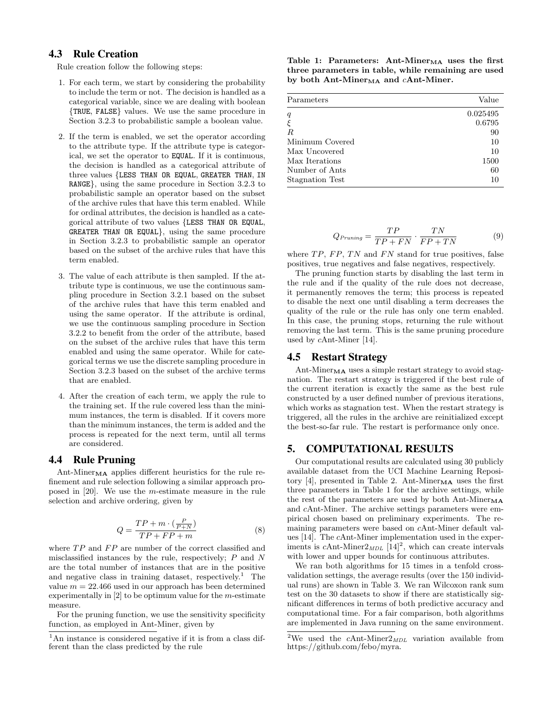#### 4.3 Rule Creation

Rule creation follow the following steps:

- 1. For each term, we start by considering the probability to include the term or not. The decision is handled as a categorical variable, since we are dealing with boolean {TRUE, FALSE} values. We use the same procedure in Section 3.2.3 to probabilistic sample a boolean value.
- 2. If the term is enabled, we set the operator according to the attribute type. If the attribute type is categorical, we set the operator to EQUAL. If it is continuous, the decision is handled as a categorical attribute of three values {LESS THAN OR EQUAL, GREATER THAN, IN RANGE}, using the same procedure in Section 3.2.3 to probabilistic sample an operator based on the subset of the archive rules that have this term enabled. While for ordinal attributes, the decision is handled as a categorical attribute of two values {LESS THAN OR EQUAL, GREATER THAN OR EQUAL}, using the same procedure in Section 3.2.3 to probabilistic sample an operator based on the subset of the archive rules that have this term enabled.
- 3. The value of each attribute is then sampled. If the attribute type is continuous, we use the continuous sampling procedure in Section 3.2.1 based on the subset of the archive rules that have this term enabled and using the same operator. If the attribute is ordinal, we use the continuous sampling procedure in Section 3.2.2 to benefit from the order of the attribute, based on the subset of the archive rules that have this term enabled and using the same operator. While for categorical terms we use the discrete sampling procedure in Section 3.2.3 based on the subset of the archive terms that are enabled.
- 4. After the creation of each term, we apply the rule to the training set. If the rule covered less than the minimum instances, the term is disabled. If it covers more than the minimum instances, the term is added and the process is repeated for the next term, until all terms are considered.

#### 4.4 Rule Pruning

 $Ant-Miner<sub>MA</sub>$  applies different heuristics for the rule refinement and rule selection following a similar approach proposed in [20]. We use the m-estimate measure in the rule selection and archive ordering, given by

$$
Q = \frac{TP + m \cdot (\frac{P}{P+N})}{TP + FP + m}
$$
\n(8)

where  $TP$  and  $FP$  are number of the correct classified and misclassified instances by the rule, respectively;  $P$  and  $N$ are the total number of instances that are in the positive and negative class in training dataset, respectively.<sup>1</sup> The value  $m = 22.466$  used in our approach has been determined experimentally in  $[2]$  to be optimum value for the *m*-estimate measure.

For the pruning function, we use the sensitivity specificity function, as employed in Ant-Miner, given by

Table 1: Parameters: Ant-Miner $_{\text{MA}}$  uses the first three parameters in table, while remaining are used by both Ant-Miner $_{\text{MA}}$  and cAnt-Miner.

| Parameters      | Value    |
|-----------------|----------|
| q               | 0.025495 |
| $\xi$           | 0.6795   |
| R.              | 90       |
| Minimum Covered | 10       |
| Max Uncovered   | 10       |
| Max Iterations  | 1500     |
| Number of Ants  | 60       |
| Stagnation Test | 10       |

$$
Q_{Pruning} = \frac{TP}{TP + FN} \cdot \frac{TN}{FP + TN}
$$
(9)

where  $TP$ ,  $FP$ ,  $TN$  and  $FN$  stand for true positives, false positives, true negatives and false negatives, respectively.

The pruning function starts by disabling the last term in the rule and if the quality of the rule does not decrease, it permanently removes the term; this process is repeated to disable the next one until disabling a term decreases the quality of the rule or the rule has only one term enabled. In this case, the pruning stops, returning the rule without removing the last term. This is the same pruning procedure used by cAnt-Miner [14].

#### 4.5 Restart Strategy

Ant-Miner $_{\text{MA}}$  uses a simple restart strategy to avoid stagnation. The restart strategy is triggered if the best rule of the current iteration is exactly the same as the best rule constructed by a user defined number of previous iterations, which works as stagnation test. When the restart strategy is triggered, all the rules in the archive are reinitialized except the best-so-far rule. The restart is performance only once.

#### 5. COMPUTATIONAL RESULTS

Our computational results are calculated using 30 publicly available dataset from the UCI Machine Learning Repository [4], presented in Table 2. Ant-Miner $_{\bf MA}$  uses the first three parameters in Table 1 for the archive settings, while the rest of the parameters are used by both Ant-Miner $_{\text{MA}}$ and cAnt-Miner. The archive settings parameters were empirical chosen based on preliminary experiments. The remaining parameters were based on cAnt-Miner default values [14]. The cAnt-Miner implementation used in the experiments is cAnt-Miner $2_{MDL}$  [14]<sup>2</sup>, which can create intervals with lower and upper bounds for continuous attributes.

We ran both algorithms for 15 times in a tenfold crossvalidation settings, the average results (over the 150 individual runs) are shown in Table 3. We ran Wilcoxon rank sum test on the 30 datasets to show if there are statistically significant differences in terms of both predictive accuracy and computational time. For a fair comparison, both algorithms are implemented in Java running on the same environment.

<sup>&</sup>lt;sup>1</sup>An instance is considered negative if it is from a class different than the class predicted by the rule

<sup>&</sup>lt;sup>2</sup>We used the  $c$ Ant-Miner $2$ <sub>MDL</sub> variation available from https://github.com/febo/myra.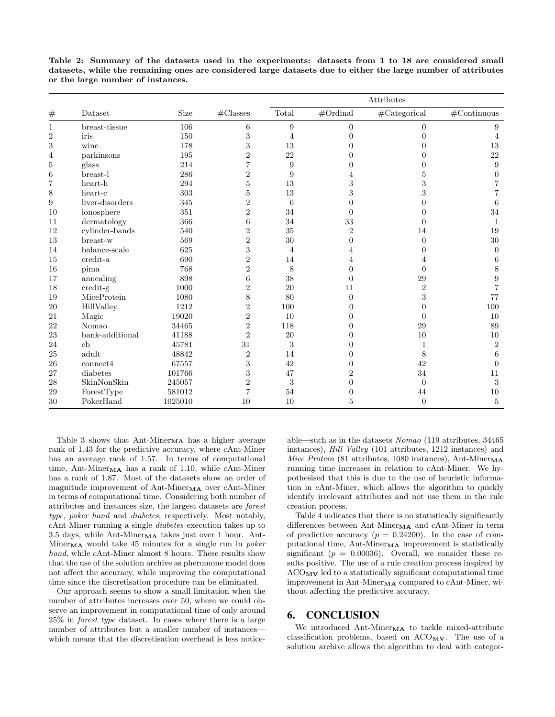Table 2: Summary of the datasets used in the experiments: datasets from 1 to 18 are considered small datasets, while the remaining ones are considered large datasets due to either the large number of attributes or the large number of instances.

|                |                           |             |                | Attributes     |                  |                        |                |  |
|----------------|---------------------------|-------------|----------------|----------------|------------------|------------------------|----------------|--|
| $\#$           | Dataset                   | <b>Size</b> | $\#$ Classes   | Total          | #Ordinal         | $\#\mbox{Categorical}$ | #Continuous    |  |
| 1              | breast-tissue             | 106         | 6              | 9              | $\boldsymbol{0}$ | $\boldsymbol{0}$       | 9              |  |
| $\overline{2}$ | iris                      | 150         | 3              | 4              | $\Omega$         | $\Omega$               | 4              |  |
| 3              | wine                      | 178         | 3              | 13             |                  | 0                      | 13             |  |
| 4              | parkinsons                | 195         | $\overline{2}$ | 22             | $\mathbf{0}$     | $\Omega$               | 22             |  |
| 5              | glass                     | 214         | 7              | 9              | 0                | $\overline{0}$         | 9              |  |
| 6              | breast-l                  | 286         | $\overline{2}$ | 9              | 4                | 5                      | $\overline{0}$ |  |
| 7              | heart-h                   | 294         | 5              | 13             | 3                | 3                      | 7              |  |
| 8              | heart-c                   | 303         | 5              | 13             | 3                | 3                      |                |  |
| 9              | liver-disorders           | 345         | $\overline{2}$ | 6              | 0                | $\Omega$               | 6              |  |
| 10             | ionosphere                | 351         | $\overline{2}$ | 34             | $\Omega$         | 0                      | 34             |  |
| 11             | dermatology               | 366         | 6              | 34             | 33               | 0                      | $\mathbf{1}$   |  |
| 12             | cylinder-bands            | 540         | $\overline{2}$ | 35             | $\overline{2}$   | 14                     | 19             |  |
| 13             | breast-w                  | 569         | $\overline{2}$ | 30             | $\overline{0}$   | $\overline{0}$         | 30             |  |
| 14             | balance-scale             | 625         | 3              | $\overline{4}$ | 4                | $\Omega$               | $\theta$       |  |
| 15             | $\operatorname{credit-a}$ | 690         | $\overline{2}$ | 14             | 4                | 4                      | 6              |  |
| 16             | pima                      | 768         | $\overline{2}$ | 8              | $\overline{0}$   | $\theta$               | 8              |  |
| 17             | annealing                 | 898         | 6              | 38             | $\theta$         | 29                     | $\overline{9}$ |  |
| 18             | credit-g                  | 1000        | $\overline{2}$ | 20             | 11               | $\overline{2}$         |                |  |
| 19             | MiceProtein               | 1080        | 8              | 80             | $\theta$         | 3                      | 77             |  |
| 20             | HillValley                | 1212        | $\overline{2}$ | 100            |                  | $\Omega$               | 100            |  |
| 21             | Magic                     | 19020       | $\overline{2}$ | 10             |                  | $\theta$               | 10             |  |
| 22             | Nomao                     | 34465       | $\overline{2}$ | 118            | $\theta$         | 29                     | 89             |  |
| 23             | bank-additional           | 41188       | $\overline{2}$ | 20             | 0                | 10                     | 10             |  |
| 24             | eb                        | 45781       | 31             | 3              | $\mathbf{0}$     | 1                      | $\overline{2}$ |  |
| 25             | adult                     | 48842       | $\overline{2}$ | 14             |                  | 8                      | 6              |  |
| 26             | connect4                  | 67557       | 3              | 42             | 0                | 42                     | $\overline{0}$ |  |
| 27             | diabetes                  | 101766      | 3              | 47             | $\overline{2}$   | 34                     | 11             |  |
| 28             | SkinNonSkin               | 245057      | $\overline{2}$ | 3              | 0                | $\Omega$               | 3              |  |
| 29             | ForestType                | 581012      |                | 54             | 0                | 44                     | 10             |  |
| 30             | PokerHand                 | 1025010     | 10             | 10             | 5                | $\overline{0}$         | $\overline{5}$ |  |

Table 3 shows that Ant-Miner $_{\text{MA}}$  has a higher average rank of 1.43 for the predictive accuracy, where cAnt-Miner has an average rank of 1.57. In terms of computational time, Ant-Miner $_{\text{MA}}$  has a rank of 1.10, while cAnt-Miner has a rank of 1.87. Most of the datasets show an order of magnitude improvement of Ant-Miner $_{\text{MA}}$  over cAnt-Miner in terms of computational time. Considering both number of attributes and instances size, the largest datasets are *forest type*, *poker hand* and *diabetes*, respectively. Most notably, cAnt-Miner running a single *diabetes* execution takes up to 3.5 days, while Ant-Miner $_{\text{MA}}$  takes just over 1 hour. Ant-Miner<sub>MA</sub> would take 45 minutes for a single run in *poker hand*, while cAnt-Miner almost 8 hours. These results show that the use of the solution archive as pheromone model does not affect the accuracy, while improving the computational time since the discretisation procedure can be eliminated.

Our approach seems to show a small limitation when the number of attributes increases over 50, where we could observe an improvement in computational time of only around 25% in *forest type* dataset. In cases where there is a large number of attributes but a smaller number of instanceswhich means that the discretisation overhead is less noticeable—such as in the datasets *Nomao* (119 attributes, 34465 instances), *Hill Valley* (101 attributes, 1212 instances) and *Mice Protein* (81 attributes, 1080 instances), Ant-Miner $_{\text{MA}}$ running time increases in relation to cAnt-Miner. We hypothesised that this is due to the use of heuristic information in cAnt-Miner, which allows the algorithm to quickly identify irrelevant attributes and not use them in the rule creation process.

Table 4 indicates that there is no statistically significantly differences between Ant-Miner $_{\text{MA}}$  and cAnt-Miner in term of predictive accuracy  $(p = 0.24200)$ . In the case of computational time, Ant-Miner $_{\bf MA}$  improvement is statistically significant ( $p = 0.00036$ ). Overall, we consider these results positive. The use of a rule creation process inspired by  $ACO_{MV}$  led to a statistically significant computational time improvement in Ant-Miner $_{\mathbf{MA}}$  compared to cAnt-Miner, without affecting the predictive accuracy.

#### 6. CONCLUSION

We introduced Ant-Miner $_{\text{MA}}$  to tackle mixed-attribute classification problems, based on  $ACO_{MV}$ . The use of a solution archive allows the algorithm to deal with categor-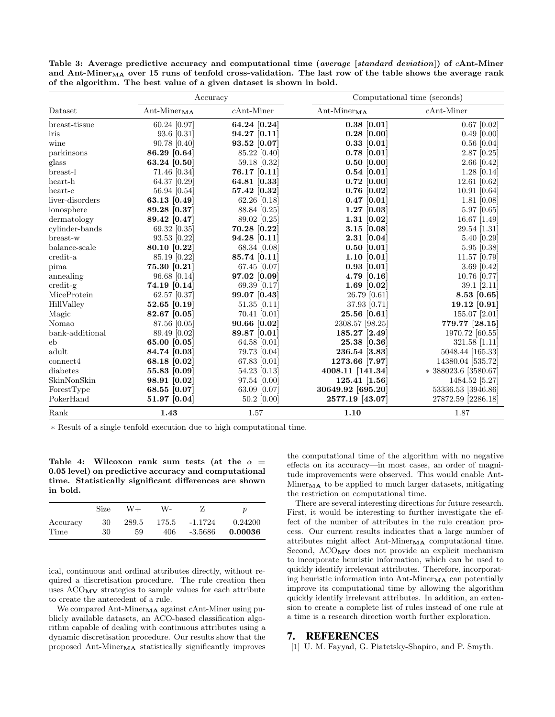|                 | of the algorithm. The best value of a given dataset is shown in bold.<br>Accuracy |                   | Computational time (seconds) |                  |  |  |  |
|-----------------|-----------------------------------------------------------------------------------|-------------------|------------------------------|------------------|--|--|--|
| Dataset         | $Ant\text{-}\mathrm{Miner}_{\mathbf{MA}}$                                         | $c$ Ant-Miner     | Ant-Miner $_{\mathbf{MA}}$   | $c$ Ant-Miner    |  |  |  |
| breast-tissue   | 60.24 [0.97]                                                                      | 64.24 $[0.24]$    | $0.38$ [0.01]                | $0.67$ [0.02]    |  |  |  |
| iris            | $93.6$ [0.31]                                                                     | $94.27$ [0.11]    | $0.28$ [0.00]                | $0.49$ [0.00]    |  |  |  |
| wine            | $90.78$ [0.40]                                                                    | $93.52$ [0.07]    | $0.33$ [0.01]                | $0.56$ [0.04]    |  |  |  |
| parkinsons      | 86.29 [0.64]                                                                      | 85.22 [0.40]      | $0.78$ [0.01]                | $2.87$ [0.25]    |  |  |  |
| glass           | 63.24 [0.50]                                                                      | 59.18 [0.32]      | $0.50$ [0.00]                | $2.66$ [0.42]    |  |  |  |
| breast-l        | 71.46 [0.34]                                                                      | $76.17$ [0.11]    | $0.54$ [0.01]                | $1.28$ [0.14]    |  |  |  |
| heart-h         | 64.37 [0.29]                                                                      | 64.81 [0.33]      | $0.72$ [0.00]                | $12.61$ [0.62]   |  |  |  |
| heart-c         | 56.94 [0.54]                                                                      | $57.42 \; [0.32]$ | $0.76$ [0.02]                | $10.91$ [0.64]   |  |  |  |
| liver-disorders | 63.13 [0.49]                                                                      | 62.26 $[0.18]$    | $0.47$ [0.01]                | $1.81$ [0.08]    |  |  |  |
| ionosphere      | 89.28 [0.37]                                                                      | 88.84 [0.25]      | $1.27$ [0.03]                | $5.97$ [0.65]    |  |  |  |
| dermatology     | 89.42 [0.47]                                                                      | 89.02 [0.25]      | $1.31 \; [0.02]$             | $16.67$ [1.49]   |  |  |  |
| cylinder-bands  | 69.32 [0.35]                                                                      | $70.28\;[0.22]$   | $3.15$ [0.08]                | 29.54 [1.31]     |  |  |  |
| breast-w        | 93.53 [0.22]                                                                      | $94.28$ [0.11]    | $2.31 \; [0.04]$             | $5.40 \; [0.29]$ |  |  |  |
| balance-scale   | 80.10 [0.22]                                                                      | 68.34 [0.08]      | $0.50$ [0.01]                | $5.95$ [0.38]    |  |  |  |
| credit-a        | 85.19 [0.22]                                                                      | $85.74 \; [0.11]$ | 1.10 [0.01]                  | $11.57$ [0.79]   |  |  |  |
| pima            | 75.30 [0.21]                                                                      | 67.45 [0.07]      | $0.93$ [0.01]                | 3.69 $[0.42]$    |  |  |  |
| annealing       | 96.68 [0.14]                                                                      | $97.02$ [0.09]    | $4.79$ [0.16]                | 10.76 [0.77]     |  |  |  |

credit-g  $\begin{array}{ccc} \text{74.19} \end{array} [0.14] \begin{array}{ccc} 69.39 \end{array} [0.17] \begin{array}{ccc} \text{74.169} \end{array} [0.02] \end{array}$ MiceProtein 62.57 [0.37] **99.07 [0.43]** 26.79 [0.61] **8.53 [0.65]** HillValley  $\qquad \qquad 52.65 \; [0.19] \qquad \qquad 51.35 \; [0.11] \qquad \qquad 37.93 \; [0.71] \qquad \qquad 19.12 \; [0.91]$ Magic 62.67 [0.05] 70.41 [0.01] 25.56 [0.61] 155.07 [2.01] Nomao 87.56 [0.05] 90.66 [0.02] 2308.57 [98.25] 779.77 [28.15]

eb 65.00  $[0.05]$  64.58  $[0.01]$  25.38  $[0.36]$  321.58  $[1.11]$ adult **84.74 [0.03]** 79.73 [0.04] **236.54 [3.83]** 5048.44 [165.33] connect4 68.18 [0.02] 67.83 [0.01] 1273.66 [7.97] 14380.04 [535.72] diabetes 55.83 [0.09] 54.23 [0.13] 4008.11 [141.34] \* 388023.6 [3580.67]<br>SkinNonSkin 98.91 [0.02] 97.54 [0.00] 125.41 [1.56] 1484.52 [5.27] SkinNonSkin 98.91 [0.02] 97.54 [0.00] 125.41 [1.56] 1484.52 [5.27] ForestType 68.55 [0.07] 63.09 [0.07] 30649.92 [695.20] 53336.53 [3946.86] PokerHand **51.97 [0.04]** 50.2 [0.00] **2577.19 [43.07]** 27872.59 [2286.18]

Rank 1.43 1.57 1.10 1.87

 $\begin{array}{cccc} 89.49 & [0.02] & \textbf{89.87} & [0.01] & \textbf{185.27} & [2.49] & \textbf{1970.72} & [60.55] & \textbf{65.00} & [0.05] & \textbf{64.58} & [0.01] & \textbf{25.38} & [0.36] & \textbf{321.58} & [1.11] & \end{array}$ 

Table 3: Average predictive accuracy and computational time (average [standard deviation]) of cAnt-Miner and Ant-Miner<sub>MA</sub> over 15 runs of tenfold cross-validation. The last row of the table shows the average rank

∗ Result of a single tenfold execution due to high computational time.

Table 4: Wilcoxon rank sum tests (at the  $\alpha =$ 0.05 level) on predictive accuracy and computational time. Statistically significant differences are shown in bold.

|          | Size | $W+$  | W-    |           | р       |
|----------|------|-------|-------|-----------|---------|
| Accuracy | 30   | 289.5 | 175.5 | $-1.1724$ | 0.24200 |
| Time     | 30   | 59    | 406   | $-3.5686$ | 0.00036 |

ical, continuous and ordinal attributes directly, without required a discretisation procedure. The rule creation then uses  $ACO_{MV}$  strategies to sample values for each attribute to create the antecedent of a rule.

We compared Ant-Miner $_{\bf MA}$  against cAnt-Miner using publicly available datasets, an ACO-based classification algorithm capable of dealing with continuous attributes using a dynamic discretisation procedure. Our results show that the proposed Ant-Miner $_{\mathbf{MA}}$  statistically significantly improves

the computational time of the algorithm with no negative effects on its accuracy—in most cases, an order of magnitude improvements were observed. This would enable Ant- $Miner_{MA}$  to be applied to much larger datasets, mitigating the restriction on computational time.

There are several interesting directions for future research. First, it would be interesting to further investigate the effect of the number of attributes in the rule creation process. Our current results indicates that a large number of attributes might affect Ant-Miner $_{\text{MA}}$  computational time. Second,  $ACO_{MV}$  does not provide an explicit mechanism to incorporate heuristic information, which can be used to quickly identify irrelevant attributes. Therefore, incorporating heuristic information into Ant-Miner $_{\bf MA}$  can potentially improve its computational time by allowing the algorithm quickly identify irrelevant attributes. In addition, an extension to create a complete list of rules instead of one rule at a time is a research direction worth further exploration.

#### 7. REFERENCES

[1] U. M. Fayyad, G. Piatetsky-Shapiro, and P. Smyth.